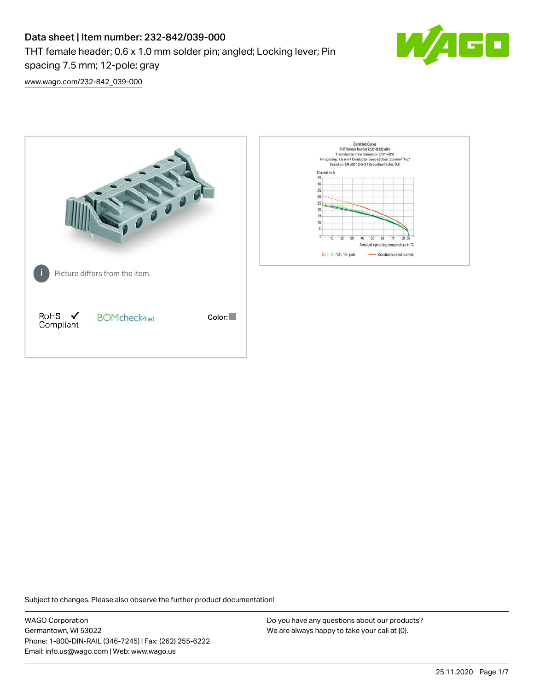# Data sheet | Item number: 232-842/039-000

THT female header; 0.6 x 1.0 mm solder pin; angled; Locking lever; Pin



[www.wago.com/232-842\\_039-000](http://www.wago.com/232-842_039-000)

spacing 7.5 mm; 12-pole; gray



Subject to changes. Please also observe the further product documentation!

WAGO Corporation Germantown, WI 53022 Phone: 1-800-DIN-RAIL (346-7245) | Fax: (262) 255-6222 Email: info.us@wago.com | Web: www.wago.us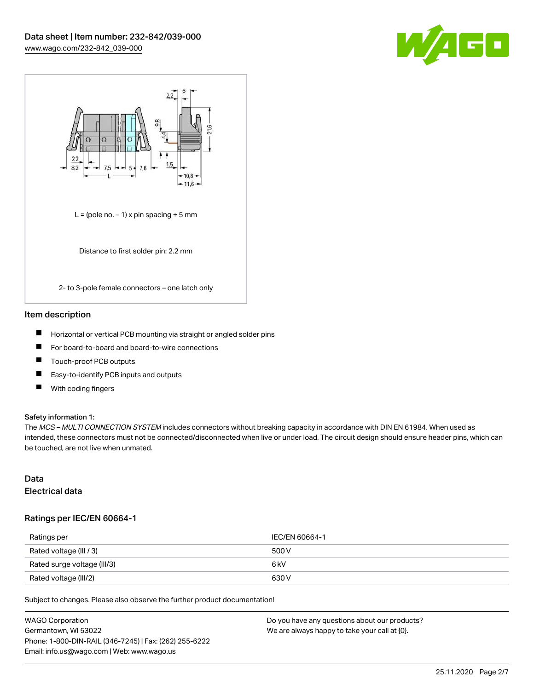



#### Item description

- П Horizontal or vertical PCB mounting via straight or angled solder pins
- $\blacksquare$ For board-to-board and board-to-wire connections
- Touch-proof PCB outputs П
- $\blacksquare$ Easy-to-identify PCB inputs and outputs
- $\blacksquare$ With coding fingers

#### Safety information 1:

The MCS - MULTI CONNECTION SYSTEM includes connectors without breaking capacity in accordance with DIN EN 61984. When used as intended, these connectors must not be connected/disconnected when live or under load. The circuit design should ensure header pins, which can be touched, are not live when unmated.

#### Data Electrical data

#### Ratings per IEC/EN 60664-1

| Ratings per                 | IEC/EN 60664-1   |
|-----------------------------|------------------|
| Rated voltage (III / 3)     | 500 V            |
| Rated surge voltage (III/3) | 6 <sub>k</sub> V |
| Rated voltage (III/2)       | 630 V            |

Subject to changes. Please also observe the further product documentation!

| <b>WAGO Corporation</b>                                | Do you have any questions about our products? |
|--------------------------------------------------------|-----------------------------------------------|
| Germantown, WI 53022                                   | We are always happy to take your call at {0}. |
| Phone: 1-800-DIN-RAIL (346-7245)   Fax: (262) 255-6222 |                                               |
| Email: info.us@wago.com   Web: www.wago.us             |                                               |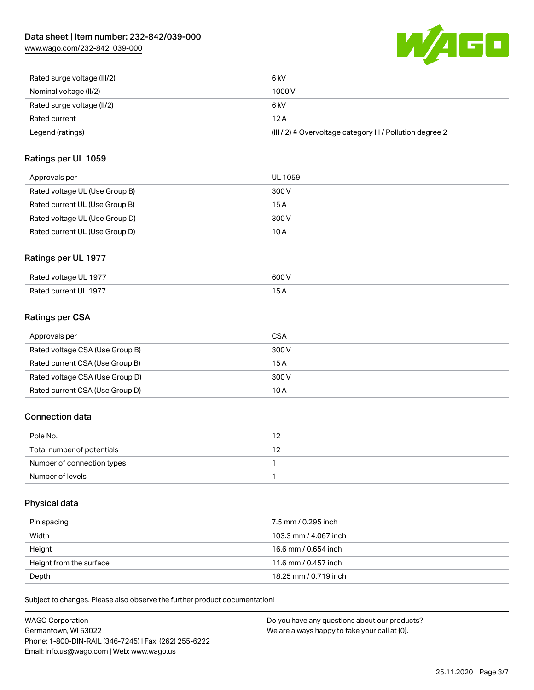[www.wago.com/232-842\\_039-000](http://www.wago.com/232-842_039-000)



| Legend (ratings)            | (III / 2) ≙ Overvoltage category III / Pollution degree 2 |
|-----------------------------|-----------------------------------------------------------|
| Rated current               | 12 A                                                      |
| Rated surge voltage (II/2)  | 6 kV                                                      |
| Nominal voltage (II/2)      | 1000 V                                                    |
| Rated surge voltage (III/2) | 6 kV                                                      |

## Ratings per UL 1059

| Approvals per                  | UL 1059 |
|--------------------------------|---------|
| Rated voltage UL (Use Group B) | 300 V   |
| Rated current UL (Use Group B) | 15 A    |
| Rated voltage UL (Use Group D) | 300 V   |
| Rated current UL (Use Group D) | 10 A    |

# Ratings per UL 1977

| Rated voltage UL 1977  | 600 V                                     |
|------------------------|-------------------------------------------|
| Rated current III 1977 | $\sim$ $\sim$ $\sim$ $\sim$ $\sim$ $\sim$ |

# Ratings per CSA

| Approvals per                   | CSA   |
|---------------------------------|-------|
| Rated voltage CSA (Use Group B) | 300 V |
| Rated current CSA (Use Group B) | 15 A  |
| Rated voltage CSA (Use Group D) | 300 V |
| Rated current CSA (Use Group D) | 10 A  |

# Connection data

| Pole No.                   |  |
|----------------------------|--|
| Total number of potentials |  |
| Number of connection types |  |
| Number of levels           |  |

## Physical data

| Pin spacing             | 7.5 mm / 0.295 inch   |
|-------------------------|-----------------------|
| Width                   | 103.3 mm / 4.067 inch |
| Height                  | 16.6 mm / 0.654 inch  |
| Height from the surface | 11.6 mm / 0.457 inch  |
| Depth                   | 18.25 mm / 0.719 inch |

Subject to changes. Please also observe the further product documentation!

| <b>WAGO Corporation</b>                                | Do you have any questions about our products? |
|--------------------------------------------------------|-----------------------------------------------|
| Germantown, WI 53022                                   | We are always happy to take your call at {0}. |
| Phone: 1-800-DIN-RAIL (346-7245)   Fax: (262) 255-6222 |                                               |
| Email: info.us@wago.com   Web: www.wago.us             |                                               |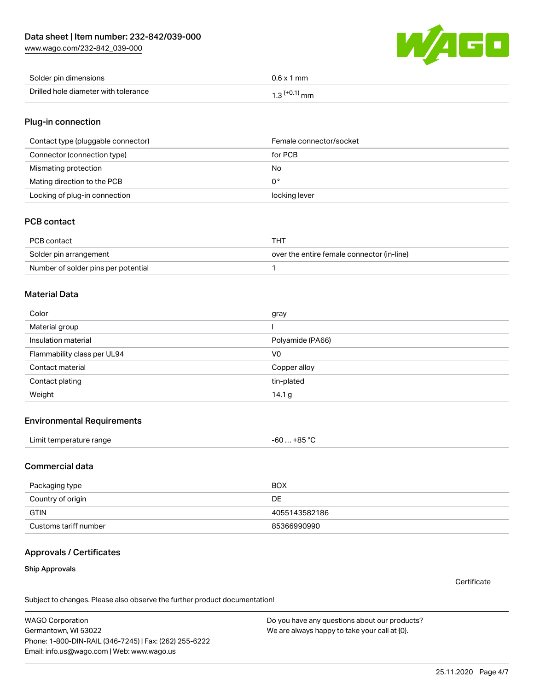[www.wago.com/232-842\\_039-000](http://www.wago.com/232-842_039-000)



| Solder pin dimensions                | $0.6 \times 1$ mm |
|--------------------------------------|-------------------|
| Drilled hole diameter with tolerance | mm<br>ו. ט        |

## Plug-in connection

| Contact type (pluggable connector) | Female connector/socket |
|------------------------------------|-------------------------|
| Connector (connection type)        | for PCB                 |
| Mismating protection               | No                      |
| Mating direction to the PCB        | 0°                      |
| Locking of plug-in connection      | locking lever           |

#### PCB contact

| PCB contact                         | <b>THT</b>                                 |
|-------------------------------------|--------------------------------------------|
| Solder pin arrangement              | over the entire female connector (in-line) |
| Number of solder pins per potential |                                            |

#### Material Data

| Color                       | gray             |
|-----------------------------|------------------|
| Material group              |                  |
| Insulation material         | Polyamide (PA66) |
| Flammability class per UL94 | V <sub>0</sub>   |
| Contact material            | Copper alloy     |
| Contact plating             | tin-plated       |
| Weight                      | 14.1 $g$         |

#### Environmental Requirements

| Limit temperature range<br>$\blacksquare$ . The contract of the contract of the contract of the contract of the contract of the contract of the contract of the contract of the contract of the contract of the contract of the contract of the contract of the | $-60+85 °C$ |  |
|-----------------------------------------------------------------------------------------------------------------------------------------------------------------------------------------------------------------------------------------------------------------|-------------|--|
|-----------------------------------------------------------------------------------------------------------------------------------------------------------------------------------------------------------------------------------------------------------------|-------------|--|

### Commercial data

| Packaging type        | <b>BOX</b>    |
|-----------------------|---------------|
| Country of origin     | DE            |
| <b>GTIN</b>           | 4055143582186 |
| Customs tariff number | 85366990990   |

# Approvals / Certificates

#### Ship Approvals

**Certificate** 

Subject to changes. Please also observe the further product documentation!

WAGO Corporation Germantown, WI 53022 Phone: 1-800-DIN-RAIL (346-7245) | Fax: (262) 255-6222 Email: info.us@wago.com | Web: www.wago.us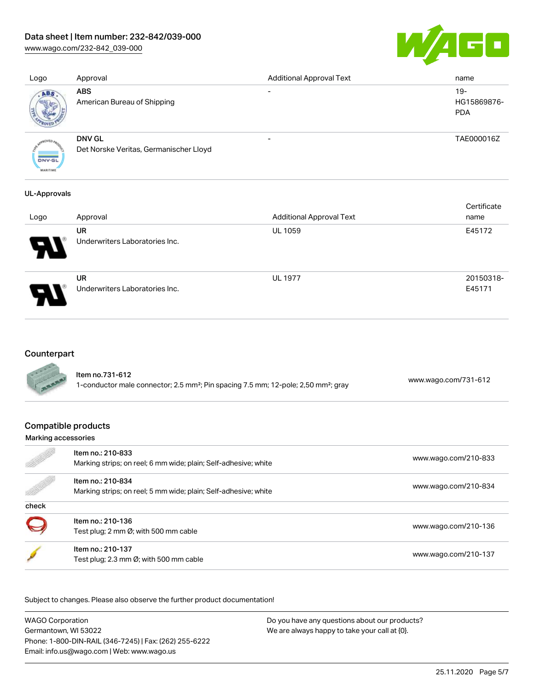## Data sheet | Item number: 232-842/039-000

[www.wago.com/232-842\\_039-000](http://www.wago.com/232-842_039-000)



| Logo          | Approval                                                | <b>Additional Approval Text</b> | name                               |
|---------------|---------------------------------------------------------|---------------------------------|------------------------------------|
| ABS           | <b>ABS</b><br>American Bureau of Shipping               | $\overline{\phantom{0}}$        | $19-$<br>HG15869876-<br><b>PDA</b> |
| <b>DNV-GL</b> | <b>DNV GL</b><br>Det Norske Veritas, Germanischer Lloyd |                                 | TAE000016Z                         |

#### UL-Approvals

**MARITIME** 

| Logo                       | Approval                                    | <b>Additional Approval Text</b> | Certificate<br>name |
|----------------------------|---------------------------------------------|---------------------------------|---------------------|
| $\boldsymbol{\mathcal{A}}$ | UR<br>Underwriters Laboratories Inc.        | <b>UL 1059</b>                  | E45172              |
| Э.                         | <b>UR</b><br>Underwriters Laboratories Inc. | <b>UL 1977</b>                  | 20150318-<br>E45171 |

# Counterpart

| ltem no.731-612                                                                                            | www.wago.com/731-612 |
|------------------------------------------------------------------------------------------------------------|----------------------|
| 1-conductor male connector; 2.5 mm <sup>2</sup> ; Pin spacing 7.5 mm; 12-pole; 2,50 mm <sup>2</sup> ; gray |                      |

#### Compatible products

#### Marking accessories

|       | Item no.: 210-833<br>Marking strips; on reel; 6 mm wide; plain; Self-adhesive; white | www.wago.com/210-833 |
|-------|--------------------------------------------------------------------------------------|----------------------|
|       | Item no.: 210-834<br>Marking strips; on reel; 5 mm wide; plain; Self-adhesive; white | www.wago.com/210-834 |
| check |                                                                                      |                      |
|       | Item no.: 210-136<br>Test plug; 2 mm Ø; with 500 mm cable                            | www.wago.com/210-136 |
|       | Item no.: 210-137<br>Test plug; 2.3 mm Ø; with 500 mm cable                          | www.wago.com/210-137 |

Subject to changes. Please also observe the further product documentation!

WAGO Corporation Germantown, WI 53022 Phone: 1-800-DIN-RAIL (346-7245) | Fax: (262) 255-6222 Email: info.us@wago.com | Web: www.wago.us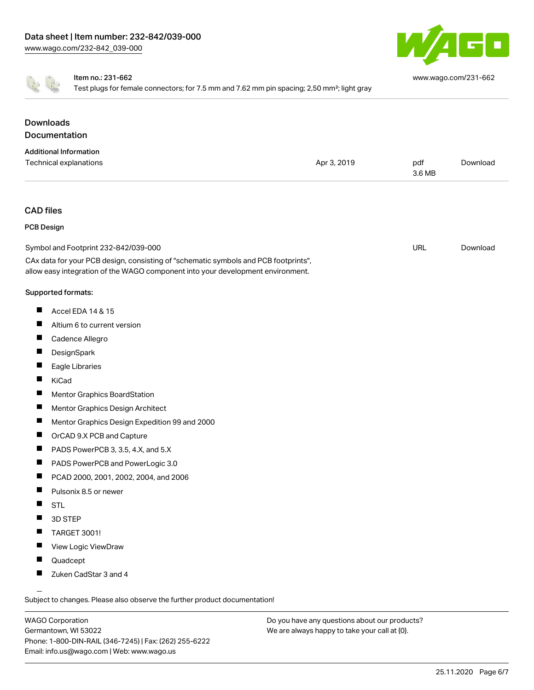



#### Item no.: 231-662

Test plugs for female connectors; for 7.5 mm and 7.62 mm pin spacing; 2,50 mm²; light gray

[www.wago.com/231-662](http://www.wago.com/231-662)

#### Downloads Documentation Additional Information Technical explanations and political explanations and political explanations and political explanations and political explanations and political explanations and political explanations and political explanations and politi [Download](https://www.wago.com/us/d/1435602) 3.6 MB CAD files PCB Design URL [Download](https://www.wago.com/us/d/UltraLibrarian_URLS_232-842_039-000)Symbol and Footprint 232-842/039-000 CAx data for your PCB design, consisting of "schematic symbols and PCB footprints", allow easy integration of the WAGO component into your development environment. Supported formats:  $\blacksquare$ Accel EDA 14 & 15 П Altium 6 to current version  $\blacksquare$ Cadence Allegro П **DesignSpark** П Eagle Libraries  $\blacksquare$ KiCad  $\blacksquare$ Mentor Graphics BoardStation  $\blacksquare$ Mentor Graphics Design Architect  $\blacksquare$ Mentor Graphics Design Expedition 99 and 2000  $\blacksquare$ OrCAD 9.X PCB and Capture П PADS PowerPCB 3, 3.5, 4.X, and 5.X  $\blacksquare$ PADS PowerPCB and PowerLogic 3.0  $\blacksquare$ PCAD 2000, 2001, 2002, 2004, and 2006  $\blacksquare$ Pulsonix 8.5 or newer  $\blacksquare$ STL  $\blacksquare$ 3D STEP  $\blacksquare$ TARGET 3001! П View Logic ViewDraw  $\blacksquare$ Quadcept  $\blacksquare$ Zuken CadStar 3 and 4

Subject to changes. Please also observe the further product documentation!

WAGO Corporation Germantown, WI 53022 Phone: 1-800-DIN-RAIL (346-7245) | Fax: (262) 255-6222 Email: info.us@wago.com | Web: www.wago.us